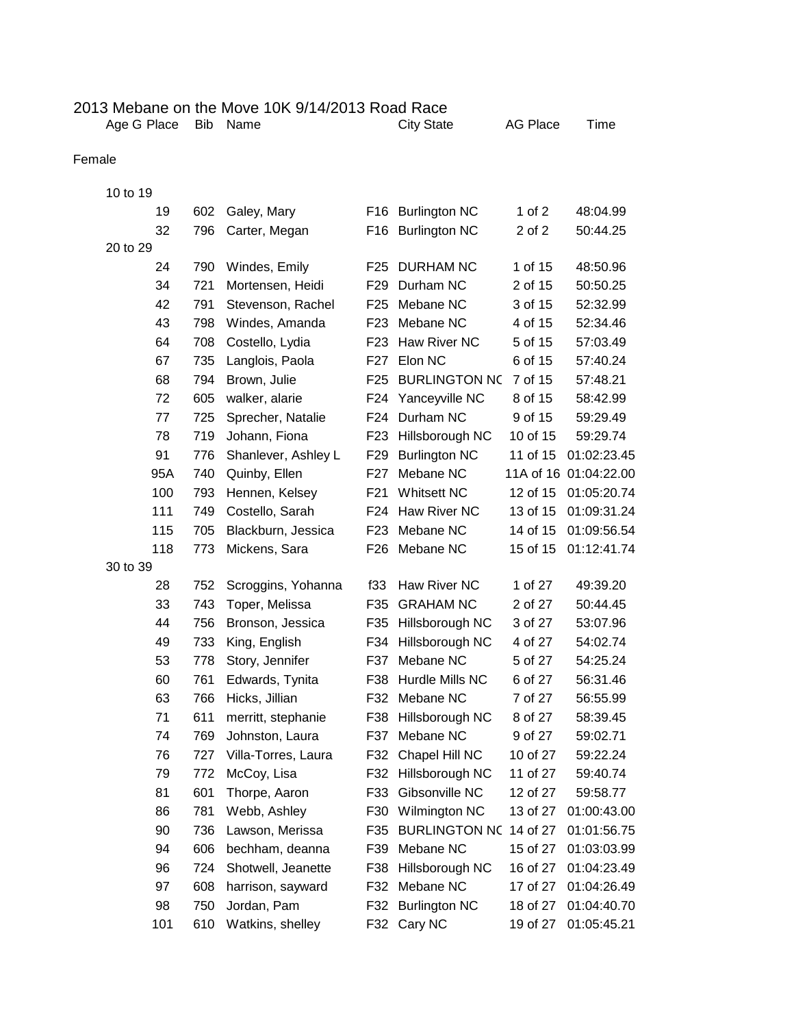## 2013 Mebane on the Move 10K 9/14/2013 Road Race<br>Age G Place Bib Name City State

City State AG Place Time

## Female

| 10 to 19 |     |                     |                 |                      |          |                       |
|----------|-----|---------------------|-----------------|----------------------|----------|-----------------------|
| 19       | 602 | Galey, Mary         |                 | F16 Burlington NC    | 1 of $2$ | 48:04.99              |
| 32       | 796 | Carter, Megan       | F16             | <b>Burlington NC</b> | 2 of 2   | 50:44.25              |
| 20 to 29 |     |                     |                 |                      |          |                       |
| 24       | 790 | Windes, Emily       | F <sub>25</sub> | <b>DURHAM NC</b>     | 1 of 15  | 48:50.96              |
| 34       | 721 | Mortensen, Heidi    | F <sub>29</sub> | Durham NC            | 2 of 15  | 50:50.25              |
| 42       | 791 | Stevenson, Rachel   | F <sub>25</sub> | Mebane NC            | 3 of 15  | 52:32.99              |
| 43       | 798 | Windes, Amanda      | F <sub>23</sub> | Mebane NC            | 4 of 15  | 52:34.46              |
| 64       | 708 | Costello, Lydia     | F <sub>23</sub> | Haw River NC         | 5 of 15  | 57:03.49              |
| 67       | 735 | Langlois, Paola     | F <sub>27</sub> | Elon NC              | 6 of 15  | 57:40.24              |
| 68       | 794 | Brown, Julie        | F <sub>25</sub> | <b>BURLINGTON NC</b> | 7 of 15  | 57:48.21              |
| 72       | 605 | walker, alarie      | F24             | Yanceyville NC       | 8 of 15  | 58:42.99              |
| 77       | 725 | Sprecher, Natalie   | F24             | Durham NC            | 9 of 15  | 59:29.49              |
| 78       | 719 | Johann, Fiona       | F <sub>23</sub> | Hillsborough NC      | 10 of 15 | 59:29.74              |
| 91       | 776 | Shanlever, Ashley L | F <sub>29</sub> | <b>Burlington NC</b> | 11 of 15 | 01:02:23.45           |
| 95A      | 740 | Quinby, Ellen       | F <sub>27</sub> | Mebane NC            |          | 11A of 16 01:04:22.00 |
| 100      | 793 | Hennen, Kelsey      | F <sub>21</sub> | <b>Whitsett NC</b>   | 12 of 15 | 01:05:20.74           |
| 111      | 749 | Costello, Sarah     | F24             | Haw River NC         | 13 of 15 | 01:09:31.24           |
| 115      | 705 | Blackburn, Jessica  | F <sub>23</sub> | Mebane NC            | 14 of 15 | 01:09:56.54           |
| 118      | 773 | Mickens, Sara       | F <sub>26</sub> | Mebane NC            | 15 of 15 | 01:12:41.74           |
| 30 to 39 |     |                     |                 |                      |          |                       |
| 28       | 752 | Scroggins, Yohanna  | f33             | Haw River NC         | 1 of 27  | 49:39.20              |
| 33       | 743 | Toper, Melissa      | F35             | <b>GRAHAM NC</b>     | 2 of 27  | 50:44.45              |
| 44       | 756 | Bronson, Jessica    | F35             | Hillsborough NC      | 3 of 27  | 53:07.96              |
| 49       | 733 | King, English       | F34             | Hillsborough NC      | 4 of 27  | 54:02.74              |
| 53       | 778 | Story, Jennifer     | F37             | Mebane NC            | 5 of 27  | 54:25.24              |
| 60       | 761 | Edwards, Tynita     | F38             | Hurdle Mills NC      | 6 of 27  | 56:31.46              |
| 63       | 766 | Hicks, Jillian      | F32             | Mebane NC            | 7 of 27  | 56:55.99              |
| 71       | 611 | merritt, stephanie  | F38             | Hillsborough NC      | 8 of 27  | 58:39.45              |
| 74       | 769 | Johnston, Laura     | F37             | Mebane NC            | 9 of 27  | 59:02.71              |
| 76       | 727 | Villa-Torres, Laura | F32             | Chapel Hill NC       | 10 of 27 | 59:22.24              |
| 79       | 772 | McCoy, Lisa         | F32             | Hillsborough NC      | 11 of 27 | 59:40.74              |
| 81       | 601 | Thorpe, Aaron       | F33             | Gibsonville NC       | 12 of 27 | 59:58.77              |
| 86       | 781 | Webb, Ashley        | F30             | Wilmington NC        | 13 of 27 | 01:00:43.00           |
| 90       | 736 | Lawson, Merissa     | F35             | <b>BURLINGTON NC</b> | 14 of 27 | 01:01:56.75           |
| 94       | 606 | bechham, deanna     | F39             | Mebane NC            | 15 of 27 | 01:03:03.99           |
| 96       | 724 | Shotwell, Jeanette  | F38             | Hillsborough NC      | 16 of 27 | 01:04:23.49           |
| 97       | 608 | harrison, sayward   | F32             | Mebane NC            | 17 of 27 | 01:04:26.49           |
| 98       | 750 | Jordan, Pam         | F32             | <b>Burlington NC</b> | 18 of 27 | 01:04:40.70           |
| 101      | 610 | Watkins, shelley    | F32             | Cary NC              | 19 of 27 | 01:05:45.21           |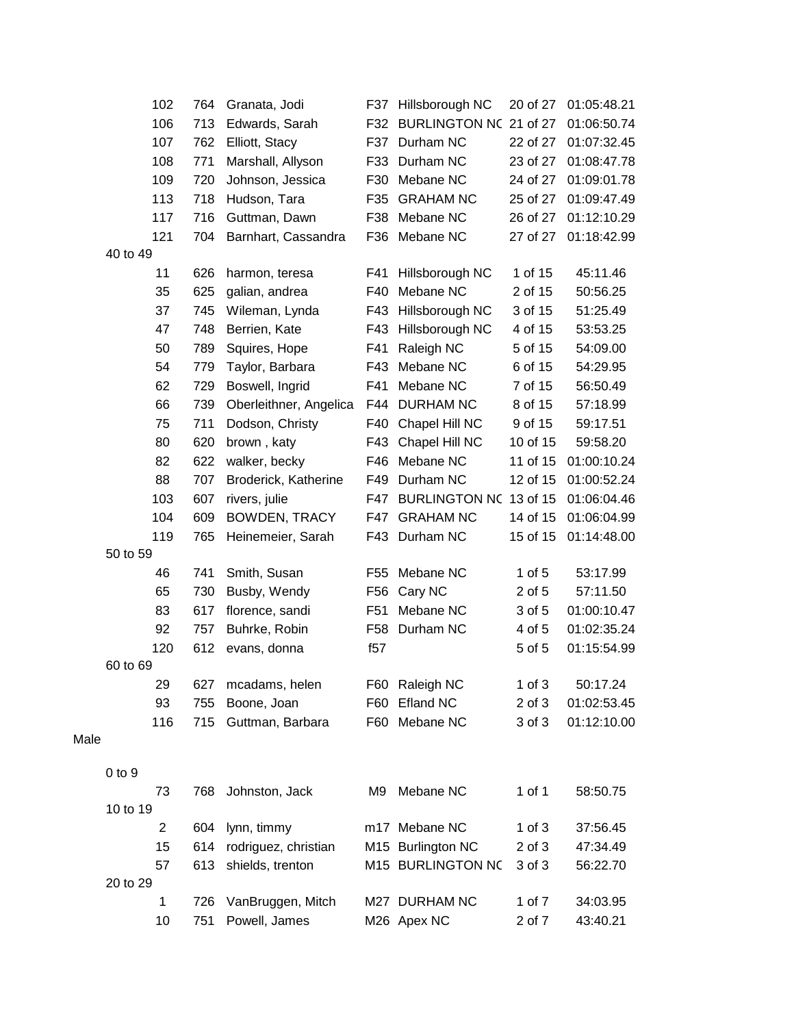|      | 102            | 764 | Granata, Jodi          |                 | F37 Hillsborough NC        | 20 of 27   | 01:05:48.21 |
|------|----------------|-----|------------------------|-----------------|----------------------------|------------|-------------|
|      | 106            | 713 | Edwards, Sarah         |                 | F32 BURLINGTON NC 21 of 27 |            | 01:06:50.74 |
|      | 107            | 762 | Elliott, Stacy         |                 | F37 Durham NC              | 22 of 27   | 01:07:32.45 |
|      | 108            | 771 | Marshall, Allyson      | F33             | Durham NC                  | 23 of 27   | 01:08:47.78 |
|      | 109            | 720 | Johnson, Jessica       |                 | F30 Mebane NC              | 24 of 27   | 01:09:01.78 |
|      | 113            | 718 | Hudson, Tara           | F35             | <b>GRAHAM NC</b>           | 25 of 27   | 01:09:47.49 |
|      | 117            | 716 | Guttman, Dawn          | F38             | Mebane NC                  | 26 of 27   | 01:12:10.29 |
|      | 121            | 704 | Barnhart, Cassandra    | F36             | Mebane NC                  | 27 of 27   | 01:18:42.99 |
|      | 40 to 49       |     |                        |                 |                            |            |             |
|      | 11             | 626 | harmon, teresa         | F41             | Hillsborough NC            | 1 of 15    | 45:11.46    |
|      | 35             | 625 | galian, andrea         | F40             | Mebane NC                  | 2 of 15    | 50:56.25    |
|      | 37             | 745 | Wileman, Lynda         |                 | F43 Hillsborough NC        | 3 of 15    | 51:25.49    |
|      | 47             | 748 | Berrien, Kate          | F43             | Hillsborough NC            | 4 of 15    | 53:53.25    |
|      | 50             | 789 | Squires, Hope          | F41             | Raleigh NC                 | 5 of 15    | 54:09.00    |
|      | 54             | 779 | Taylor, Barbara        | F43             | Mebane NC                  | 6 of 15    | 54:29.95    |
|      | 62             | 729 | Boswell, Ingrid        | F41             | Mebane NC                  | 7 of 15    | 56:50.49    |
|      | 66             | 739 | Oberleithner, Angelica | F44             | <b>DURHAM NC</b>           | 8 of 15    | 57:18.99    |
|      | 75             | 711 | Dodson, Christy        | F40             | Chapel Hill NC             | 9 of 15    | 59:17.51    |
|      | 80             | 620 | brown, katy            | F43             | Chapel Hill NC             | 10 of 15   | 59:58.20    |
|      | 82             | 622 | walker, becky          |                 | F46 Mebane NC              | 11 of 15   | 01:00:10.24 |
|      | 88             | 707 | Broderick, Katherine   | F49             | Durham NC                  | 12 of 15   | 01:00:52.24 |
|      | 103            | 607 | rivers, julie          |                 | F47 BURLINGTON NC 13 of 15 |            | 01:06:04.46 |
|      | 104            | 609 | BOWDEN, TRACY          | F47             | <b>GRAHAM NC</b>           | 14 of 15   | 01:06:04.99 |
|      | 119            | 765 | Heinemeier, Sarah      |                 | F43 Durham NC              | 15 of 15   | 01:14:48.00 |
|      | 50 to 59       |     |                        |                 |                            |            |             |
|      | 46             | 741 | Smith, Susan           | F55             | Mebane NC                  | $1$ of $5$ | 53:17.99    |
|      | 65             | 730 | Busby, Wendy           |                 | F56 Cary NC                | 2 of 5     | 57:11.50    |
|      | 83             | 617 | florence, sandi        | F <sub>51</sub> | Mebane NC                  | 3 of 5     | 01:00:10.47 |
|      | 92             | 757 | Buhrke, Robin          | F58             | Durham NC                  | 4 of 5     | 01:02:35.24 |
|      | 120            | 612 | evans, donna           | f57             |                            | 5 of 5     | 01:15:54.99 |
|      | 60 to 69       |     |                        |                 |                            |            |             |
|      | 29             | 627 | mcadams, helen         |                 | F60 Raleigh NC             | $1$ of $3$ | 50:17.24    |
|      | 93             | 755 | Boone, Joan            | F60             | <b>Efland NC</b>           | $2$ of $3$ | 01:02:53.45 |
|      | 116            | 715 | Guttman, Barbara       |                 | F60 Mebane NC              | 3 of 3     | 01:12:10.00 |
| Male |                |     |                        |                 |                            |            |             |
|      |                |     |                        |                 |                            |            |             |
|      | $0$ to $9$     |     |                        |                 |                            |            |             |
|      | 73             | 768 | Johnston, Jack         | M9              | Mebane NC                  | 1 of 1     | 58:50.75    |
|      | 10 to 19       |     |                        |                 |                            |            |             |
|      | 2              | 604 | lynn, timmy            |                 | m17 Mebane NC              | $1$ of $3$ | 37:56.45    |
|      | 15             | 614 | rodriguez, christian   |                 | M15 Burlington NC          | $2$ of $3$ | 47:34.49    |
|      | 57<br>20 to 29 | 613 | shields, trenton       |                 | M15 BURLINGTON NC          | 3 of 3     | 56:22.70    |
|      |                |     |                        |                 |                            | 1 of 7     |             |
|      | 1              | 726 | VanBruggen, Mitch      |                 | M27 DURHAM NC              |            | 34:03.95    |
|      | 10             | 751 | Powell, James          |                 | M26 Apex NC                | 2 of 7     | 43:40.21    |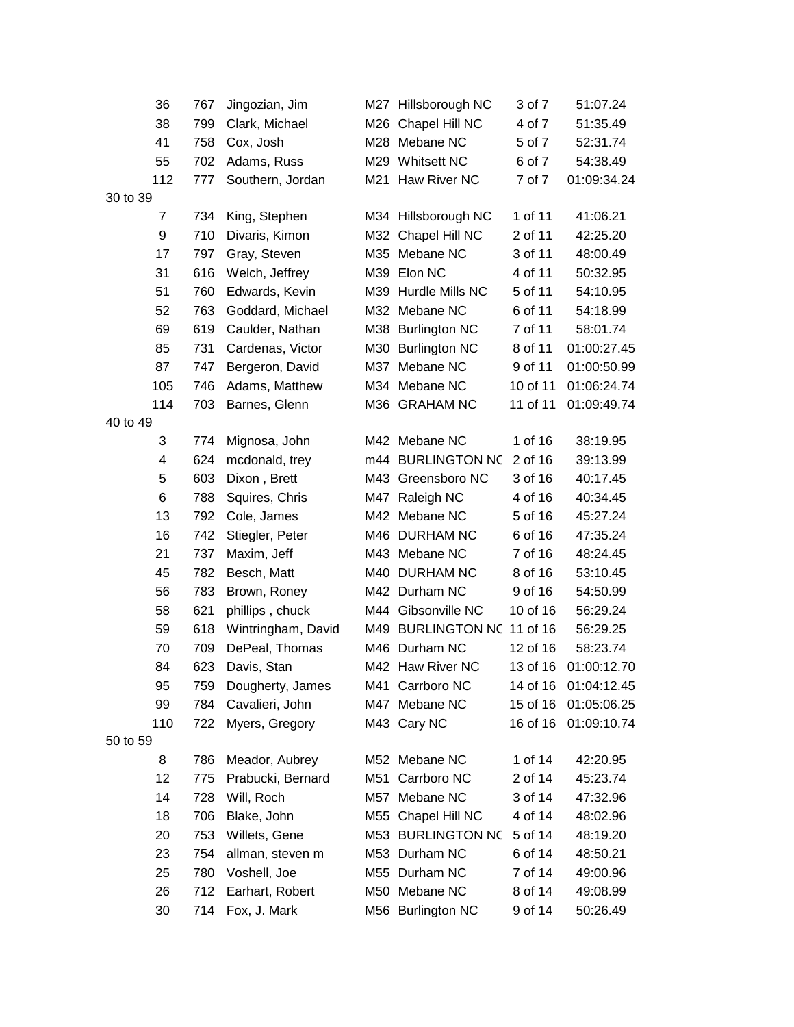| 36       | 767 | Jingozian, Jim     | M27 Hillsborough NC        | 3 of 7   | 51:07.24    |
|----------|-----|--------------------|----------------------------|----------|-------------|
| 38       | 799 | Clark, Michael     | M26 Chapel Hill NC         | 4 of 7   | 51:35.49    |
| 41       | 758 | Cox, Josh          | M28 Mebane NC              | 5 of 7   | 52:31.74    |
| 55       | 702 | Adams, Russ        | M29 Whitsett NC            | 6 of 7   | 54:38.49    |
| 112      | 777 | Southern, Jordan   | M21 Haw River NC           | 7 of 7   | 01:09:34.24 |
| 30 to 39 |     |                    |                            |          |             |
| 7        | 734 | King, Stephen      | M34 Hillsborough NC        | 1 of 11  | 41:06.21    |
| 9        | 710 | Divaris, Kimon     | M32 Chapel Hill NC         | 2 of 11  | 42:25.20    |
| 17       | 797 | Gray, Steven       | M35 Mebane NC              | 3 of 11  | 48:00.49    |
| 31       | 616 | Welch, Jeffrey     | M39 Elon NC                | 4 of 11  | 50:32.95    |
| 51       | 760 | Edwards, Kevin     | M39 Hurdle Mills NC        | 5 of 11  | 54:10.95    |
| 52       | 763 | Goddard, Michael   | M32 Mebane NC              | 6 of 11  | 54:18.99    |
| 69       | 619 | Caulder, Nathan    | M38 Burlington NC          | 7 of 11  | 58:01.74    |
| 85       | 731 | Cardenas, Victor   | M30 Burlington NC          | 8 of 11  | 01:00:27.45 |
| 87       | 747 | Bergeron, David    | M37 Mebane NC              | 9 of 11  | 01:00:50.99 |
| 105      | 746 | Adams, Matthew     | M34 Mebane NC              | 10 of 11 | 01:06:24.74 |
| 114      | 703 | Barnes, Glenn      | M36 GRAHAM NC              | 11 of 11 | 01:09:49.74 |
| 40 to 49 |     |                    |                            |          |             |
| 3        | 774 | Mignosa, John      | M42 Mebane NC              | 1 of 16  | 38:19.95    |
| 4        | 624 | mcdonald, trey     | m44 BURLINGTON NC          | 2 of 16  | 39:13.99    |
| 5        | 603 | Dixon, Brett       | M43 Greensboro NC          | 3 of 16  | 40:17.45    |
| 6        | 788 | Squires, Chris     | M47 Raleigh NC             | 4 of 16  | 40:34.45    |
| 13       | 792 | Cole, James        | M42 Mebane NC              | 5 of 16  | 45:27.24    |
| 16       | 742 | Stiegler, Peter    | M46 DURHAM NC              | 6 of 16  | 47:35.24    |
| 21       | 737 | Maxim, Jeff        | M43 Mebane NC              | 7 of 16  | 48:24.45    |
| 45       | 782 | Besch, Matt        | M40 DURHAM NC              | 8 of 16  | 53:10.45    |
| 56       | 783 | Brown, Roney       | M42 Durham NC              | 9 of 16  | 54:50.99    |
| 58       | 621 | phillips, chuck    | M44 Gibsonville NC         | 10 of 16 | 56:29.24    |
| 59       | 618 | Wintringham, David | M49 BURLINGTON NC 11 of 16 |          | 56:29.25    |
| 70       | 709 | DePeal, Thomas     | M46 Durham NC              | 12 of 16 | 58:23.74    |
| 84       | 623 | Davis, Stan        | M42 Haw River NC           | 13 of 16 | 01:00:12.70 |
| 95       | 759 | Dougherty, James   | M41 Carrboro NC            | 14 of 16 | 01:04:12.45 |
| 99       | 784 | Cavalieri, John    | M47 Mebane NC              | 15 of 16 | 01:05:06.25 |
| 110      | 722 | Myers, Gregory     | M43 Cary NC                | 16 of 16 | 01:09:10.74 |
| 50 to 59 |     |                    |                            |          |             |
| 8        | 786 | Meador, Aubrey     | M52 Mebane NC              | 1 of 14  | 42:20.95    |
| 12       | 775 | Prabucki, Bernard  | M51 Carrboro NC            | 2 of 14  | 45:23.74    |
| 14       | 728 | Will, Roch         | M57 Mebane NC              | 3 of 14  | 47:32.96    |
| 18       | 706 | Blake, John        | M55 Chapel Hill NC         | 4 of 14  | 48:02.96    |
| 20       | 753 | Willets, Gene      | M53 BURLINGTON NC          | 5 of 14  | 48:19.20    |
| 23       | 754 | allman, steven m   | M53 Durham NC              | 6 of 14  | 48:50.21    |
| 25       | 780 | Voshell, Joe       | M55 Durham NC              | 7 of 14  | 49:00.96    |
| 26       | 712 | Earhart, Robert    | M50 Mebane NC              | 8 of 14  | 49:08.99    |
| 30       | 714 | Fox, J. Mark       | M56 Burlington NC          | 9 of 14  | 50:26.49    |